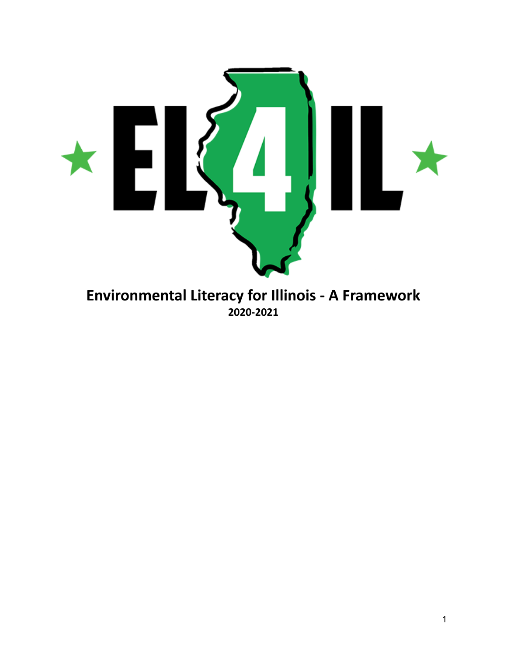

# **Environmental Literacy for Illinois - A Framework 2020-2021**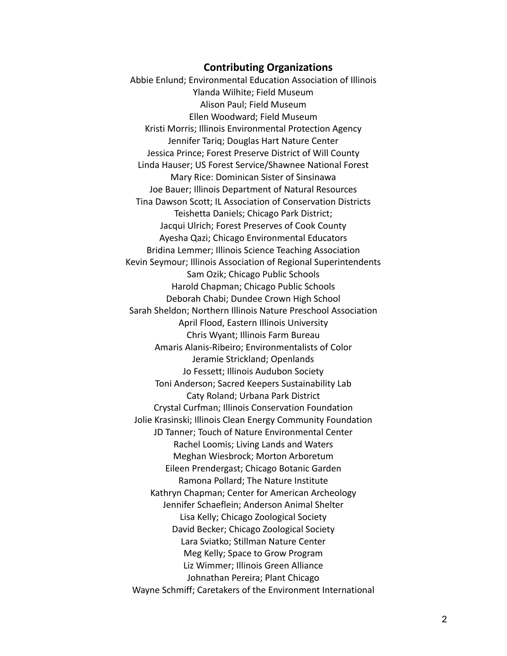#### **Contributing Organizations**

Abbie Enlund; Environmental Education Association of Illinois Ylanda Wilhite; Field Museum Alison Paul; Field Museum Ellen Woodward; Field Museum Kristi Morris; Illinois Environmental Protection Agency Jennifer Tariq; Douglas Hart Nature Center Jessica Prince; Forest Preserve District of Will County Linda Hauser; US Forest Service/Shawnee National Forest Mary Rice: Dominican Sister of Sinsinawa Joe Bauer; Illinois Department of Natural Resources Tina Dawson Scott; IL Association of Conservation Districts Teishetta Daniels; Chicago Park District; Jacqui Ulrich; Forest Preserves of Cook County Ayesha Qazi; Chicago Environmental Educators Bridina Lemmer; Illinois Science Teaching Association Kevin Seymour; Illinois Association of Regional Superintendents Sam Ozik; Chicago Public Schools Harold Chapman; Chicago Public Schools Deborah Chabi; Dundee Crown High School Sarah Sheldon; Northern Illinois Nature Preschool Association April Flood, Eastern Illinois University Chris Wyant; Illinois Farm Bureau Amaris Alanis-Ribeiro; Environmentalists of Color Jeramie Strickland; Openlands Jo Fessett; Illinois Audubon Society Toni Anderson; Sacred Keepers Sustainability Lab Caty Roland; Urbana Park District Crystal Curfman; Illinois Conservation Foundation Jolie Krasinski; Illinois Clean Energy Community Foundation JD Tanner; Touch of Nature Environmental Center Rachel Loomis; Living Lands and Waters Meghan Wiesbrock; Morton Arboretum Eileen Prendergast; Chicago Botanic Garden Ramona Pollard; The Nature Institute Kathryn Chapman; Center for American Archeology Jennifer Schaeflein; Anderson Animal Shelter Lisa Kelly; Chicago Zoological Society David Becker; Chicago Zoological Society Lara Sviatko; Stillman Nature Center Meg Kelly; Space to Grow Program Liz Wimmer; Illinois Green Alliance Johnathan Pereira; Plant Chicago Wayne Schmiff; Caretakers of the Environment International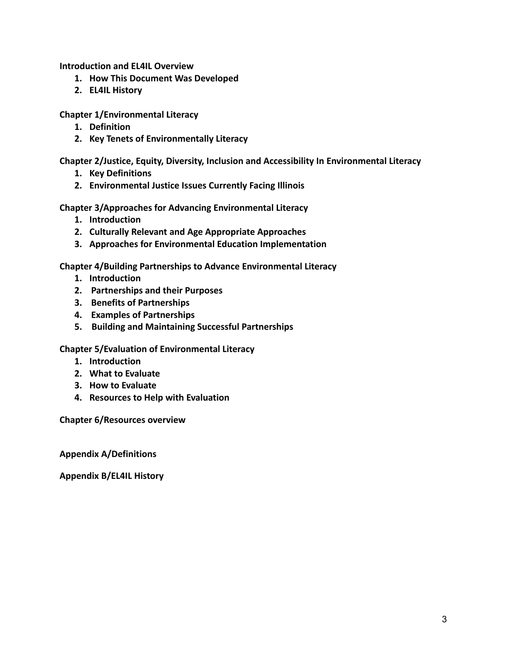**Introduction and EL4IL Overview**

- **1. How This Document Was Developed**
- **2. EL4IL History**

**Chapter 1/Environmental Literacy**

- **1. Definition**
- **2. Key Tenets of Environmentally Literacy**

**Chapter 2/Justice, Equity, Diversity, Inclusion and Accessibility In Environmental Literacy**

- **1. Key Definitions**
- **2. Environmental Justice Issues Currently Facing Illinois**

**Chapter 3/Approaches for Advancing Environmental Literacy**

- **1. Introduction**
- **2. Culturally Relevant and Age Appropriate Approaches**
- **3. Approaches for Environmental Education Implementation**

**Chapter 4/Building Partnerships to Advance Environmental Literacy**

- **1. Introduction**
- **2. Partnerships and their Purposes**
- **3. Benefits of Partnerships**
- **4. Examples of Partnerships**
- **5. Building and Maintaining Successful Partnerships**

**Chapter 5/Evaluation of Environmental Literacy**

- **1. Introduction**
- **2. What to Evaluate**
- **3. How to Evaluate**
- **4. Resources to Help with Evaluation**

**Chapter 6/Resources overview**

**Appendix A/Definitions**

**Appendix B/EL4IL History**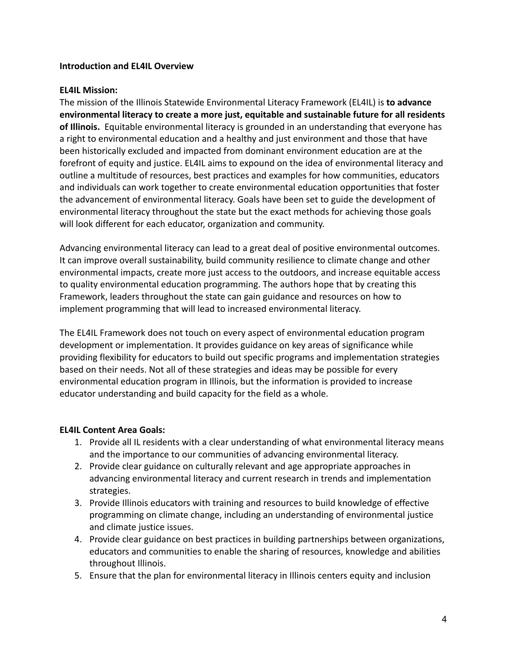#### **Introduction and EL4IL Overview**

#### **EL4IL Mission:**

The mission of the Illinois Statewide Environmental Literacy Framework (EL4IL) is **to advance environmental literacy to create a more just, equitable and sustainable future for all residents of Illinois.** Equitable environmental literacy is grounded in an understanding that everyone has a right to environmental education and a healthy and just environment and those that have been historically excluded and impacted from dominant environment education are at the forefront of equity and justice. EL4IL aims to expound on the idea of environmental literacy and outline a multitude of resources, best practices and examples for how communities, educators and individuals can work together to create environmental education opportunities that foster the advancement of environmental literacy. Goals have been set to guide the development of environmental literacy throughout the state but the exact methods for achieving those goals will look different for each educator, organization and community.

Advancing environmental literacy can lead to a great deal of positive environmental outcomes. It can improve overall sustainability, build community resilience to climate change and other environmental impacts, create more just access to the outdoors, and increase equitable access to quality environmental education programming. The authors hope that by creating this Framework, leaders throughout the state can gain guidance and resources on how to implement programming that will lead to increased environmental literacy.

The EL4IL Framework does not touch on every aspect of environmental education program development or implementation. It provides guidance on key areas of significance while providing flexibility for educators to build out specific programs and implementation strategies based on their needs. Not all of these strategies and ideas may be possible for every environmental education program in Illinois, but the information is provided to increase educator understanding and build capacity for the field as a whole.

#### **EL4IL Content Area Goals:**

- 1. Provide all IL residents with a clear understanding of what environmental literacy means and the importance to our communities of advancing environmental literacy.
- 2. Provide clear guidance on culturally relevant and age appropriate approaches in advancing environmental literacy and current research in trends and implementation strategies.
- 3. Provide Illinois educators with training and resources to build knowledge of effective programming on climate change, including an understanding of environmental justice and climate justice issues.
- 4. Provide clear guidance on best practices in building partnerships between organizations, educators and communities to enable the sharing of resources, knowledge and abilities throughout Illinois.
- 5. Ensure that the plan for environmental literacy in Illinois centers equity and inclusion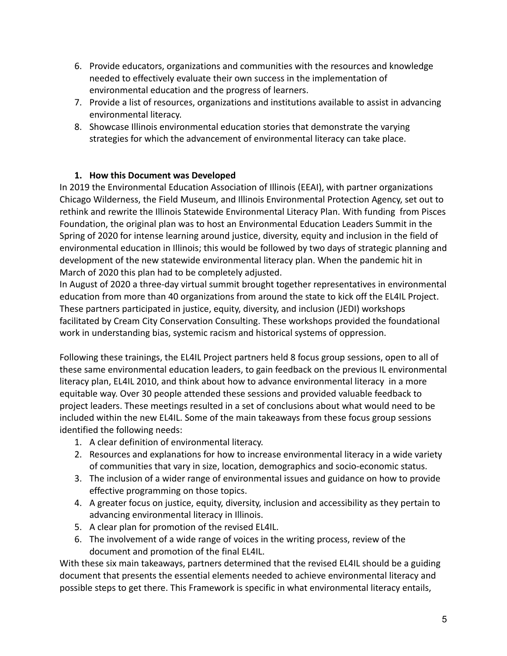- 6. Provide educators, organizations and communities with the resources and knowledge needed to effectively evaluate their own success in the implementation of environmental education and the progress of learners.
- 7. Provide a list of resources, organizations and institutions available to assist in advancing environmental literacy.
- 8. Showcase Illinois environmental education stories that demonstrate the varying strategies for which the advancement of environmental literacy can take place.

## **1. How this Document was Developed**

In 2019 the Environmental Education Association of Illinois (EEAI), with partner organizations Chicago Wilderness, the Field Museum, and Illinois Environmental Protection Agency, set out to rethink and rewrite the Illinois Statewide Environmental Literacy Plan. With funding from Pisces Foundation, the original plan was to host an Environmental Education Leaders Summit in the Spring of 2020 for intense learning around justice, diversity, equity and inclusion in the field of environmental education in Illinois; this would be followed by two days of strategic planning and development of the new statewide environmental literacy plan. When the pandemic hit in March of 2020 this plan had to be completely adjusted.

In August of 2020 a three-day virtual summit brought together representatives in environmental education from more than 40 organizations from around the state to kick off the EL4IL Project. These partners participated in justice, equity, diversity, and inclusion (JEDI) workshops facilitated by Cream City Conservation Consulting. These workshops provided the foundational work in understanding bias, systemic racism and historical systems of oppression.

Following these trainings, the EL4IL Project partners held 8 focus group sessions, open to all of these same environmental education leaders, to gain feedback on the previous IL environmental literacy plan, EL4IL 2010, and think about how to advance environmental literacy in a more equitable way. Over 30 people attended these sessions and provided valuable feedback to project leaders. These meetings resulted in a set of conclusions about what would need to be included within the new EL4IL. Some of the main takeaways from these focus group sessions identified the following needs:

- 1. A clear definition of environmental literacy.
- 2. Resources and explanations for how to increase environmental literacy in a wide variety of communities that vary in size, location, demographics and socio-economic status.
- 3. The inclusion of a wider range of environmental issues and guidance on how to provide effective programming on those topics.
- 4. A greater focus on justice, equity, diversity, inclusion and accessibility as they pertain to advancing environmental literacy in Illinois.
- 5. A clear plan for promotion of the revised EL4IL.
- 6. The involvement of a wide range of voices in the writing process, review of the document and promotion of the final EL4IL.

With these six main takeaways, partners determined that the revised EL4IL should be a guiding document that presents the essential elements needed to achieve environmental literacy and possible steps to get there. This Framework is specific in what environmental literacy entails,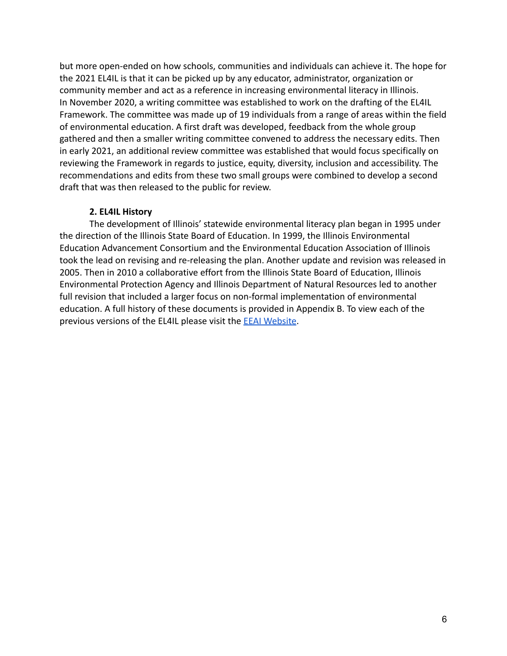but more open-ended on how schools, communities and individuals can achieve it. The hope for the 2021 EL4IL is that it can be picked up by any educator, administrator, organization or community member and act as a reference in increasing environmental literacy in Illinois. In November 2020, a writing committee was established to work on the drafting of the EL4IL Framework. The committee was made up of 19 individuals from a range of areas within the field of environmental education. A first draft was developed, feedback from the whole group gathered and then a smaller writing committee convened to address the necessary edits. Then in early 2021, an additional review committee was established that would focus specifically on reviewing the Framework in regards to justice, equity, diversity, inclusion and accessibility. The recommendations and edits from these two small groups were combined to develop a second draft that was then released to the public for review.

#### **2. EL4IL History**

The development of Illinois' statewide environmental literacy plan began in 1995 under the direction of the Illinois State Board of Education. In 1999, the Illinois Environmental Education Advancement Consortium and the Environmental Education Association of Illinois took the lead on revising and re-releasing the plan. Another update and revision was released in 2005. Then in 2010 a collaborative effort from the Illinois State Board of Education, Illinois Environmental Protection Agency and Illinois Department of Natural Resources led to another full revision that included a larger focus on non-formal implementation of environmental education. A full history of these documents is provided in Appendix B. To view each of the previous versions of the EL4IL please visit the EEAI [Website](https://www.eeai.net/el4il.html).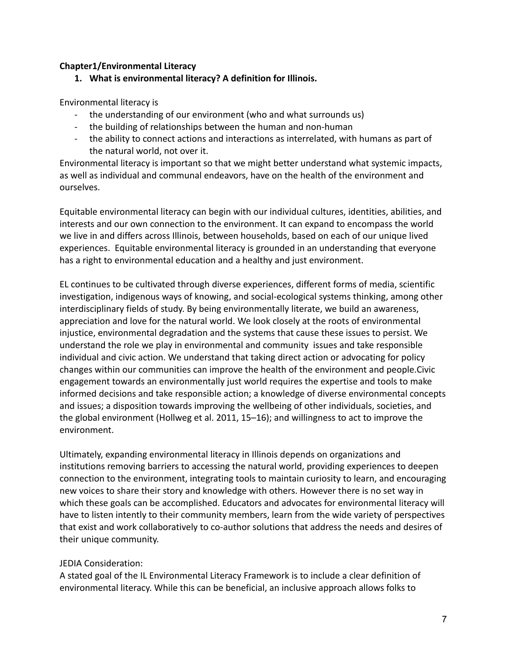#### **Chapter1/Environmental Literacy**

**1. What is environmental literacy? A definition for Illinois.**

Environmental literacy is

- the understanding of our environment (who and what surrounds us)
- the building of relationships between the human and non-human
- the ability to connect actions and interactions as interrelated, with humans as part of the natural world, not over it.

Environmental literacy is important so that we might better understand what systemic impacts, as well as individual and communal endeavors, have on the health of the environment and ourselves.

Equitable environmental literacy can begin with our individual cultures, identities, abilities, and interests and our own connection to the environment. It can expand to encompass the world we live in and differs across Illinois, between households, based on each of our unique lived experiences. Equitable environmental literacy is grounded in an understanding that everyone has a right to environmental education and a healthy and just environment.

EL continues to be cultivated through diverse experiences, different forms of media, scientific investigation, indigenous ways of knowing, and social-ecological systems thinking, among other interdisciplinary fields of study. By being environmentally literate, we build an awareness, appreciation and love for the natural world. We look closely at the roots of environmental injustice, environmental degradation and the systems that cause these issues to persist. We understand the role we play in environmental and community issues and take responsible individual and civic action. We understand that taking direct action or advocating for policy changes within our communities can improve the health of the environment and people.Civic engagement towards an environmentally just world requires the expertise and tools to make informed decisions and take responsible action; a knowledge of diverse environmental concepts and issues; a disposition towards improving the wellbeing of other individuals, societies, and the global environment (Hollweg et al. 2011, 15–16); and willingness to act to improve the environment.

Ultimately, expanding environmental literacy in Illinois depends on organizations and institutions removing barriers to accessing the natural world, providing experiences to deepen connection to the environment, integrating tools to maintain curiosity to learn, and encouraging new voices to share their story and knowledge with others. However there is no set way in which these goals can be accomplished. Educators and advocates for environmental literacy will have to listen intently to their community members, learn from the wide variety of perspectives that exist and work collaboratively to co-author solutions that address the needs and desires of their unique community.

## JEDIA Consideration:

A stated goal of the IL Environmental Literacy Framework is to include a clear definition of environmental literacy. While this can be beneficial, an inclusive approach allows folks to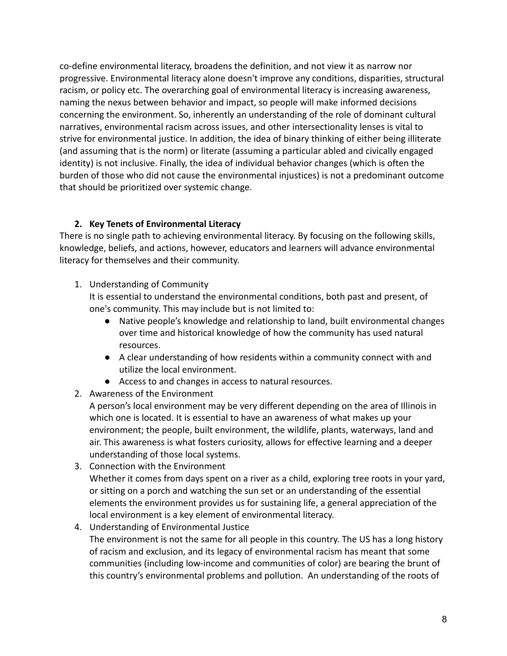co-define environmental literacy, broadens the definition, and not view it as narrow nor progressive. Environmental literacy alone doesn't improve any conditions, disparities, structural racism, or policy etc. The overarching goal of environmental literacy is increasing awareness, naming the nexus between behavior and impact, so people will make informed decisions concerning the environment. So, inherently an understanding of the role of dominant cultural narratives, environmental racism across issues, and other intersectionality lenses is vital to strive for environmental justice. In addition, the idea of binary thinking of either being illiterate (and assuming that is the norm) or literate (assuming a particular abled and civically engaged identity) is not inclusive. Finally, the idea of individual behavior changes (which is often the burden of those who did not cause the environmental injustices) is not a predominant outcome that should be prioritized over systemic change.

## **2. Key Tenets of Environmental Literacy**

There is no single path to achieving environmental literacy. By focusing on the following skills, knowledge, beliefs, and actions, however, educators and learners will advance environmental literacy for themselves and their community.

1. Understanding of Community

It is essential to understand the environmental conditions, both past and present, of one's community. This may include but is not limited to:

- Native people's knowledge and relationship to land, built environmental changes over time and historical knowledge of how the community has used natural resources.
- A clear understanding of how residents within a community connect with and utilize the local environment.
- Access to and changes in access to natural resources.

# 2. Awareness of the Environment

A person's local environment may be very different depending on the area of Illinois in which one is located. It is essential to have an awareness of what makes up your environment; the people, built environment, the wildlife, plants, waterways, land and air. This awareness is what fosters curiosity, allows for effective learning and a deeper understanding of those local systems.

- 3. Connection with the Environment Whether it comes from days spent on a river as a child, exploring tree roots in your yard, or sitting on a porch and watching the sun set or an understanding of the essential elements the environment provides us for sustaining life, a general appreciation of the local environment is a key element of environmental literacy.
- 4. Understanding of Environmental Justice The environment is not the same for all people in this country. The US has a long history of racism and exclusion, and its legacy of environmental racism has meant that some communities (including low-income and communities of color) are bearing the brunt of this country's environmental problems and pollution. An understanding of the roots of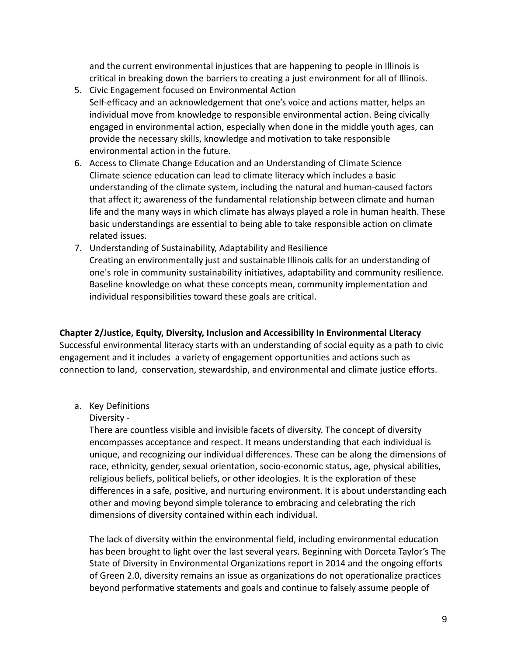and the current environmental injustices that are happening to people in Illinois is critical in breaking down the barriers to creating a just environment for all of Illinois.

- 5. Civic Engagement focused on Environmental Action Self-efficacy and an acknowledgement that one's voice and actions matter, helps an individual move from knowledge to responsible environmental action. Being civically engaged in environmental action, especially when done in the middle youth ages, can provide the necessary skills, knowledge and motivation to take responsible environmental action in the future.
- 6. Access to Climate Change Education and an Understanding of Climate Science Climate science education can lead to climate literacy which includes a basic understanding of the climate system, including the natural and human-caused factors that affect it; awareness of the fundamental relationship between climate and human life and the many ways in which climate has always played a role in human health. These basic understandings are essential to being able to take responsible action on climate related issues.
- 7. Understanding of Sustainability, Adaptability and Resilience Creating an environmentally just and sustainable Illinois calls for an understanding of one's role in community sustainability initiatives, adaptability and community resilience. Baseline knowledge on what these concepts mean, community implementation and individual responsibilities toward these goals are critical.

## **Chapter 2/Justice, Equity, Diversity, Inclusion and Accessibility In Environmental Literacy**

Successful environmental literacy starts with an understanding of social equity as a path to civic engagement and it includes a variety of engagement opportunities and actions such as connection to land, conservation, stewardship, and environmental and climate justice efforts.

a. Key Definitions

# Diversity -

There are countless visible and invisible facets of diversity. The concept of diversity encompasses acceptance and respect. It means understanding that each individual is unique, and recognizing our individual differences. These can be along the dimensions of race, ethnicity, gender, sexual orientation, socio-economic status, age, physical abilities, religious beliefs, political beliefs, or other ideologies. It is the exploration of these differences in a safe, positive, and nurturing environment. It is about understanding each other and moving beyond simple tolerance to embracing and celebrating the rich dimensions of diversity contained within each individual.

The lack of diversity within the environmental field, including environmental education has been brought to light over the last several years. Beginning with Dorceta Taylor's The State of Diversity in Environmental Organizations report in 2014 and the ongoing efforts of Green 2.0, diversity remains an issue as organizations do not operationalize practices beyond performative statements and goals and continue to falsely assume people of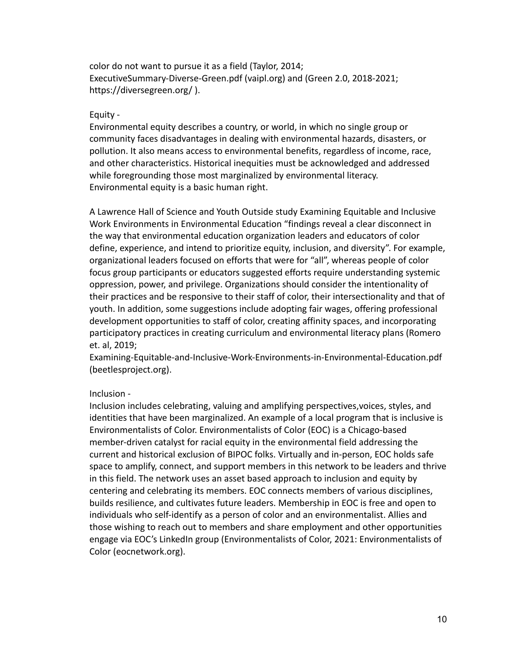color do not want to pursue it as a field (Taylor, 2014; ExecutiveSummary-Diverse-Green.pdf (vaipl.org) and (Green 2.0, 2018-2021; https://diversegreen.org/ ).

#### Equity -

Environmental equity describes a country, or world, in which no single group or community faces disadvantages in dealing with environmental hazards, disasters, or pollution. It also means access to environmental benefits, regardless of income, race, and other characteristics. Historical inequities must be acknowledged and addressed while foregrounding those most marginalized by environmental literacy. Environmental equity is a basic human right.

A Lawrence Hall of Science and Youth Outside study Examining Equitable and Inclusive Work Environments in Environmental Education "findings reveal a clear disconnect in the way that environmental education organization leaders and educators of color define, experience, and intend to prioritize equity, inclusion, and diversity". For example, organizational leaders focused on efforts that were for "all", whereas people of color focus group participants or educators suggested efforts require understanding systemic oppression, power, and privilege. Organizations should consider the intentionality of their practices and be responsive to their staff of color, their intersectionality and that of youth. In addition, some suggestions include adopting fair wages, offering professional development opportunities to staff of color, creating affinity spaces, and incorporating participatory practices in creating curriculum and environmental literacy plans (Romero et. al, 2019;

Examining-Equitable-and-Inclusive-Work-Environments-in-Environmental-Education.pdf (beetlesproject.org).

#### Inclusion -

Inclusion includes celebrating, valuing and amplifying perspectives,voices, styles, and identities that have been marginalized. An example of a local program that is inclusive is Environmentalists of Color. Environmentalists of Color (EOC) is a Chicago-based member-driven catalyst for racial equity in the environmental field addressing the current and historical exclusion of BIPOC folks. Virtually and in-person, EOC holds safe space to amplify, connect, and support members in this network to be leaders and thrive in this field. The network uses an asset based approach to inclusion and equity by centering and celebrating its members. EOC connects members of various disciplines, builds resilience, and cultivates future leaders. Membership in EOC is free and open to individuals who self-identify as a person of color and an environmentalist. Allies and those wishing to reach out to members and share employment and other opportunities engage via EOC's LinkedIn group (Environmentalists of Color, 2021: Environmentalists of Color (eocnetwork.org).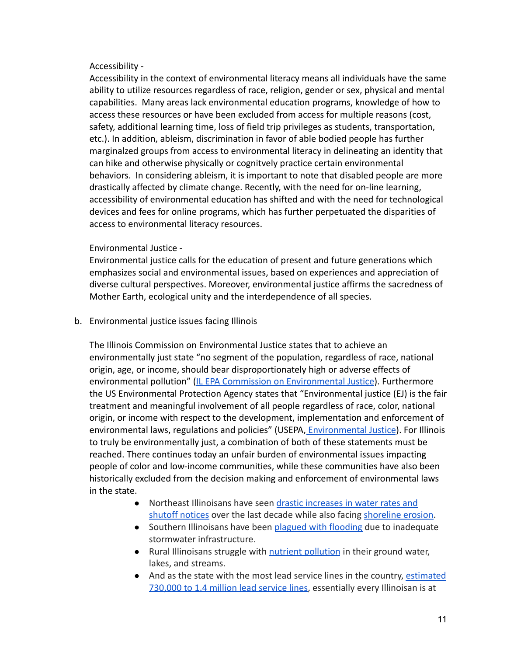#### Accessibility -

Accessibility in the context of environmental literacy means all individuals have the same ability to utilize resources regardless of race, religion, gender or sex, physical and mental capabilities. Many areas lack environmental education programs, knowledge of how to access these resources or have been excluded from access for multiple reasons (cost, safety, additional learning time, loss of field trip privileges as students, transportation, etc.). In addition, ableism, discrimination in favor of able bodied people has further marginalzed groups from access to environmental literacy in delineating an identity that can hike and otherwise physically or cognitvely practice certain environmental behaviors. In considering ableism, it is important to note that disabled people are more drastically affected by climate change. Recently, with the need for on-line learning, accessibility of environmental education has shifted and with the need for technological devices and fees for online programs, which has further perpetuated the disparities of access to environmental literacy resources.

#### Environmental Justice -

Environmental justice calls for the education of present and future generations which emphasizes social and environmental issues, based on experiences and appreciation of diverse cultural perspectives. Moreover, environmental justice affirms the sacredness of Mother Earth, ecological unity and the interdependence of all species.

b. Environmental justice issues facing Illinois

The Illinois Commission on Environmental Justice states that to achieve an environmentally just state "no segment of the population, regardless of race, national origin, age, or income, should bear disproportionately high or adverse effects of environmental pollution" ([IL EPA Commission on Environmental](https://www2.illinois.gov/epa/topics/environmental-justice/commission/Pages/default.aspx#:~:text=The%20principle%20of%20environmental%20justice,justice%20and%20related%20community%20issues) Justice). Furthermore the US Environmental Protection Agency states that "Environmental justice (EJ) is the fair treatment and meaningful involvement of all people regardless of race, color, national origin, or income with respect to the development, implementation and enforcement of environmental laws, regulations and policies" (USEPA, *[Environmental Justice](https://www.epa.gov/environmentaljustice/learn-about-environmental-justice)*). For Illinois to truly be environmentally just, a combination of both of these statements must be reached. There continues today an unfair burden of environmental issues impacting people of color and low-income communities, while these communities have also been historically excluded from the decision making and enforcement of environmental laws in the state.

- Northeast Illinoisans have seen drastic increases [in water rates and](https://www.wbez.org/stories/chicagos-water-prices-are-skyrocketing-faster-than-other-great-lakes-cities/69951240-ea15-40c7-a649-5b6787e35b6b) [shutoff notices](https://www.wbez.org/stories/chicagos-water-prices-are-skyrocketing-faster-than-other-great-lakes-cities/69951240-ea15-40c7-a649-5b6787e35b6b) over the last decade while also facing [shoreline erosion.](https://www.wbez.org/stories/lake-michigan-is-eroding-illinois-only-natural-shoreline-heres-what-it-looks-like-today/01a910e9-7b2b-45dd-b37d-4163b64fd9cb)
- Southern Illinoisans have been [plagued with flooding](https://earthjustice.org/blog/2020-february/sewage-flooding-centreville-illinois-environmental-justice) due to inadequate stormwater infrastructure.
- Rural Illinoisans struggle with [nutrient pollution](https://ilenviro.org/nutrient-pollution/) in their ground water, lakes, and streams.
- And as the state with the most lead service lines in the country, [estimated](https://www2.illinois.gov/epa/topics/drinking-water/public-water-users/Pages/lead-service-line-information.aspx) [730,000 to 1.4 million lead service lines,](https://www2.illinois.gov/epa/topics/drinking-water/public-water-users/Pages/lead-service-line-information.aspx) essentially every Illinoisan is at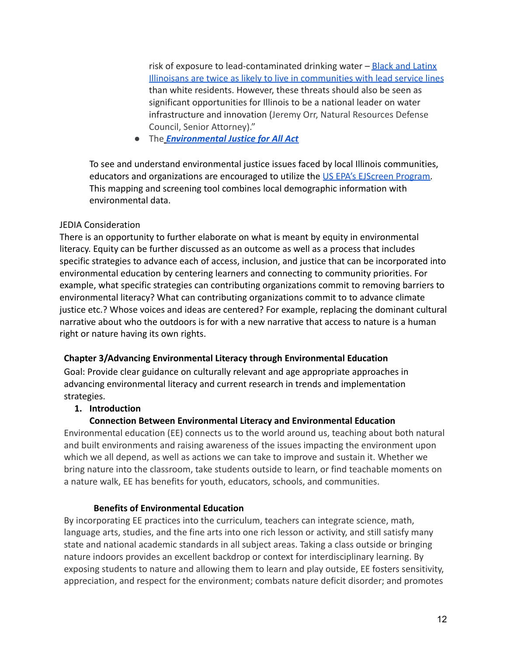risk of exposure to lead-contaminated drinking water  $-\frac{\text{Black}}{\text{and} \text{Latin}}$ [Illinoisans are twice as likely to live in communities](https://www.metroplanning.org/news/9960/Data-Points-the-environmental-injustice-of-lead-lines-in-Illinois) with lead service lines than white residents. However, these threats should also be seen as significant opportunities for Illinois to be a national leader on water infrastructure and innovation (Jeremy Orr, Natural Resources Defense Council, Senior Attorney)."

● The *[Environmental Justice for All Act](https://naturalresources.house.gov/environmental-justice)*

To see and understand environmental justice issues faced by local Illinois communities, educators and organizations are encouraged to utilize the [US EPA's EJScreen Program.](https://www.epa.gov/ejscreen) This mapping and screening tool combines local demographic information with environmental data.

## JEDIA Consideration

There is an opportunity to further elaborate on what is meant by equity in environmental literacy. Equity can be further discussed as an outcome as well as a process that includes specific strategies to advance each of access, inclusion, and justice that can be incorporated into environmental education by centering learners and connecting to community priorities. For example, what specific strategies can contributing organizations commit to removing barriers to environmental literacy? What can contributing organizations commit to to advance climate justice etc.? Whose voices and ideas are centered? For example, replacing the dominant cultural narrative about who the outdoors is for with a new narrative that access to nature is a human right or nature having its own rights.

## **Chapter 3/Advancing Environmental Literacy through Environmental Education**

Goal: Provide clear guidance on culturally relevant and age appropriate approaches in advancing environmental literacy and current research in trends and implementation strategies.

# **1. Introduction**

# **Connection Between Environmental Literacy and Environmental Education**

Environmental education (EE) connects us to the world around us, teaching about both natural and built environments and raising awareness of the issues impacting the environment upon which we all depend, as well as actions we can take to improve and sustain it. Whether we bring nature into the classroom, take students outside to learn, or find teachable moments on a nature walk, EE has benefits for youth, educators, schools, and communities.

## **Benefits of Environmental Education**

By incorporating EE practices into the curriculum, teachers can integrate science, math, language arts, studies, and the fine arts into one rich lesson or activity, and still satisfy many state and national academic standards in all subject areas. Taking a class outside or bringing nature indoors provides an excellent backdrop or context for interdisciplinary learning. By exposing students to nature and allowing them to learn and play outside, EE fosters sensitivity, appreciation, and respect for the environment; combats nature deficit disorder; and promotes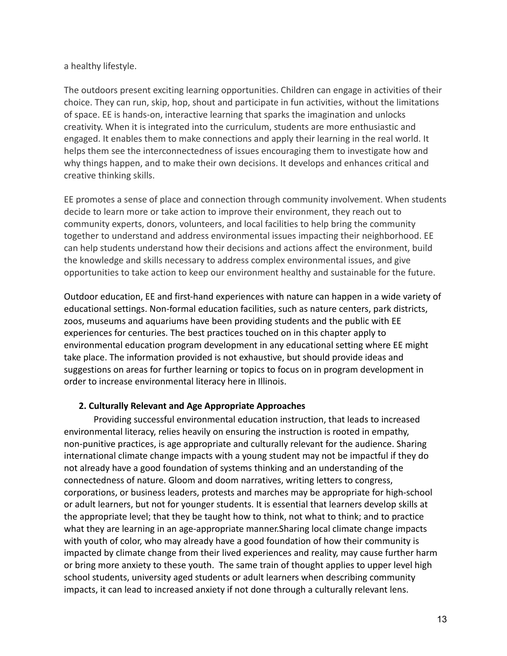#### a healthy lifestyle.

The outdoors present exciting learning opportunities. Children can engage in activities of their choice. They can run, skip, hop, shout and participate in fun activities, without the limitations of space. EE is hands-on, interactive learning that sparks the imagination and unlocks creativity. When it is integrated into the curriculum, students are more enthusiastic and engaged. It enables them to make connections and apply their learning in the real world. It helps them see the interconnectedness of issues encouraging them to investigate how and why things happen, and to make their own decisions. It develops and enhances critical and creative thinking skills.

EE promotes a sense of place and connection through community involvement. When students decide to learn more or take action to improve their environment, they reach out to community experts, donors, volunteers, and local facilities to help bring the community together to understand and address environmental issues impacting their neighborhood. EE can help students understand how their decisions and actions affect the environment, build the knowledge and skills necessary to address complex environmental issues, and give opportunities to take action to keep our environment healthy and sustainable for the future.

Outdoor education, EE and first-hand experiences with nature can happen in a wide variety of educational settings. Non-formal education facilities, such as nature centers, park districts, zoos, museums and aquariums have been providing students and the public with EE experiences for centuries. The best practices touched on in this chapter apply to environmental education program development in any educational setting where EE might take place. The information provided is not exhaustive, but should provide ideas and suggestions on areas for further learning or topics to focus on in program development in order to increase environmental literacy here in Illinois.

## **2. Culturally Relevant and Age Appropriate Approaches**

Providing successful environmental education instruction, that leads to increased environmental literacy, relies heavily on ensuring the instruction is rooted in empathy, non-punitive practices, is age appropriate and culturally relevant for the audience. Sharing international climate change impacts with a young student may not be impactful if they do not already have a good foundation of systems thinking and an understanding of the connectedness of nature. Gloom and doom narratives, writing letters to congress, corporations, or business leaders, protests and marches may be appropriate for high-school or adult learners, but not for younger students. It is essential that learners develop skills at the appropriate level; that they be taught how to think, not what to think; and to practice what they are learning in an age-appropriate manner.Sharing local climate change impacts with youth of color, who may already have a good foundation of how their community is impacted by climate change from their lived experiences and reality, may cause further harm or bring more anxiety to these youth. The same train of thought applies to upper level high school students, university aged students or adult learners when describing community impacts, it can lead to increased anxiety if not done through a culturally relevant lens.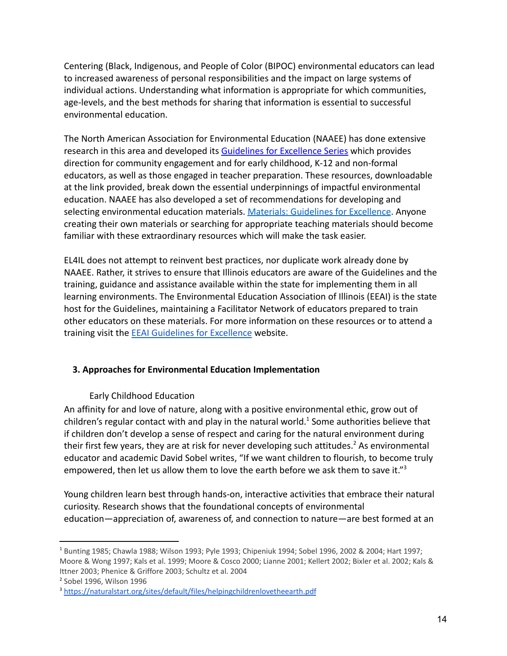Centering (Black, Indigenous, and People of Color (BIPOC) environmental educators can lead to increased awareness of personal responsibilities and the impact on large systems of individual actions. Understanding what information is appropriate for which communities, age-levels, and the best methods for sharing that information is essential to successful environmental education.

The North American Association for Environmental Education (NAAEE) has done extensive research in this area and developed its Guidelines [for Excellence Series](https://naaee.org/eepro/publication/guidelines-excellence-series-set) which provides direction for community engagement and for early childhood, K-12 and non-formal educators, as well as those engaged in teacher preparation. These resources, downloadable at the link provided, break down the essential underpinnings of impactful environmental education. NAAEE has also developed a set of recommendations for developing and selecting environmental education materials. Materials: [Guidelines for Excellence](https://naaee.org/eepro/publication/environmental-education-materials-guidelines-excellence). Anyone creating their own materials or searching for appropriate teaching materials should become familiar with these extraordinary resources which will make the task easier.

EL4IL does not attempt to reinvent best practices, nor duplicate work already done by NAAEE. Rather, it strives to ensure that Illinois educators are aware of the Guidelines and the training, guidance and assistance available within the state for implementing them in all learning environments. The Environmental Education Association of Illinois (EEAI) is the state host for the Guidelines, maintaining a Facilitator Network of educators prepared to train other educators on these materials. For more information on these resources or to attend a training visit the [EEAI Guidelines for Excellence](https://www.eeai.net/guidelines-for-excellence-in-ee.html) website.

# **3. Approaches for Environmental Education Implementation**

## Early Childhood Education

An affinity for and love of nature, along with a positive environmental ethic, grow out of children's regular contact with and play in the natural world.<sup>1</sup> Some authorities believe that if children don't develop a sense of respect and caring for the natural environment during their first few years, they are at risk for never developing such attitudes.<sup>2</sup> As environmental educator and academic David Sobel writes, "If we want children to flourish, to become truly empowered, then let us allow them to love the earth before we ask them to save it."<sup>3</sup>

Young children learn best through hands-on, interactive activities that embrace their natural curiosity. Research shows that the foundational concepts of environmental education—appreciation of, awareness of, and connection to nature—are best formed at an

<sup>1</sup> Bunting 1985; Chawla 1988; Wilson 1993; Pyle 1993; Chipeniuk 1994; Sobel 1996, 2002 & 2004; Hart 1997; Moore & Wong 1997; Kals et al. 1999; Moore & Cosco 2000; Lianne 2001; Kellert 2002; Bixler et al. 2002; Kals & Ittner 2003; Phenice & Griffore 2003; Schultz et al. 2004

<sup>2</sup> Sobel 1996, Wilson 1996

<sup>3</sup> <https://naturalstart.org/sites/default/files/helpingchildrenlovetheearth.pdf>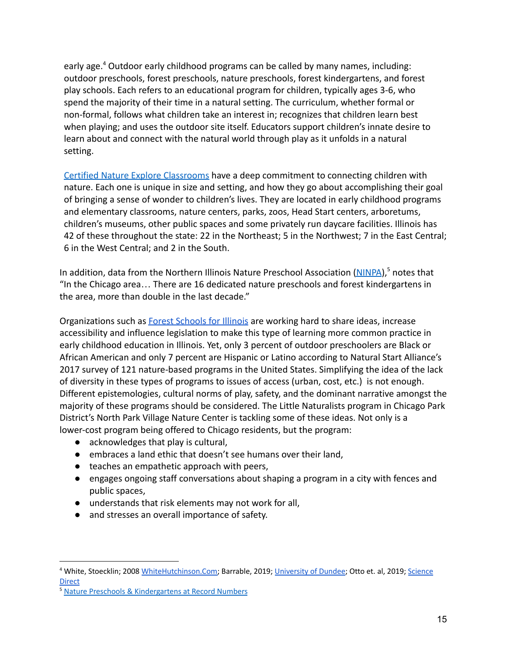early age.<sup>4</sup> Outdoor early childhood programs can be called by many names, including: outdoor preschools, forest preschools, nature preschools, forest kindergartens, and forest play schools. Each refers to an educational program for children, typically ages 3-6, who spend the majority of their time in a natural setting. The curriculum, whether formal or non-formal, follows what children take an interest in; recognizes that children learn best when playing; and uses the outdoor site itself. Educators support children's innate desire to learn about and connect with the natural world through play as it unfolds in a natural setting.

[Certified Nature Explore Classrooms](https://certified.natureexplore.org/certified-nature-explore-classrooms/) have a deep commitment to connecting children with nature. Each one is unique in size and setting, and how they go about accomplishing their goal of bringing a sense of wonder to children's lives. They are located in early childhood programs and elementary classrooms, nature centers, parks, zoos, Head Start centers, arboretums, children's museums, other public spaces and some privately run daycare facilities. Illinois has 42 of these throughout the state: 22 in the Northeast; 5 in the Northwest; 7 in the East Central; 6 in the West Central; and 2 in the South.

In addition, data from the Northern Illinois Nature Preschool Association [\(NINPA](https://ninpa.org/2018/01/14/nature-preschools-kindergartens-at-record-numbers-in-the-u-s/)),<sup>5</sup> notes that "In the Chicago area… There are 16 dedicated nature preschools and forest kindergartens in the area, more than double in the last decade."

Organizations such as [Forest Schools for Illinois](https://www.forestschoolsforillinois.org/) are working hard to share ideas, increase accessibility and influence legislation to make this type of learning more common practice in early childhood education in Illinois. Yet, only 3 percent of outdoor preschoolers are Black or African American and only 7 percent are Hispanic or Latino according to Natural Start Alliance's 2017 survey of 121 nature-based programs in the United States. Simplifying the idea of the lack of diversity in these types of programs to issues of access (urban, cost, etc.) is not enough. Different epistemologies, cultural norms of play, safety, and the dominant narrative amongst the majority of these programs should be considered. The Little Naturalists program in Chicago Park District's North Park Village Nature Center is tackling some of these ideas. Not only is a lower-cost program being offered to Chicago residents, but the program:

- acknowledges that play is cultural,
- embraces a land ethic that doesn't see humans over their land,
- teaches an empathetic approach with peers,
- engages ongoing staff conversations about shaping a program in a city with fences and public spaces,
- understands that risk elements may not work for all,
- and stresses an overall importance of safety.

<sup>4</sup> White, Stoecklin; 2008 [WhiteHutchinson.Com;](https://www.whitehutchinson.com/children/articles/nurturing.shtml) Barrable, 2019; [University](https://discovery.dundee.ac.uk/en/publications/the-case-for-nature-connectedness-as-a-distinct-goal-of-early-chi) of Dundee; Otto et. al, 2019; [Science](https://www.sciencedirect.com/science/article/abs/pii/S0959378018309087?via%3Dihub) [Direct](https://www.sciencedirect.com/science/article/abs/pii/S0959378018309087?via%3Dihub)

<sup>5</sup> Nature Preschools & [Kindergartens](https://ninpa.org/2018/01/14/nature-preschools-kindergartens-at-record-numbers-in-the-u-s/) at Record Numbers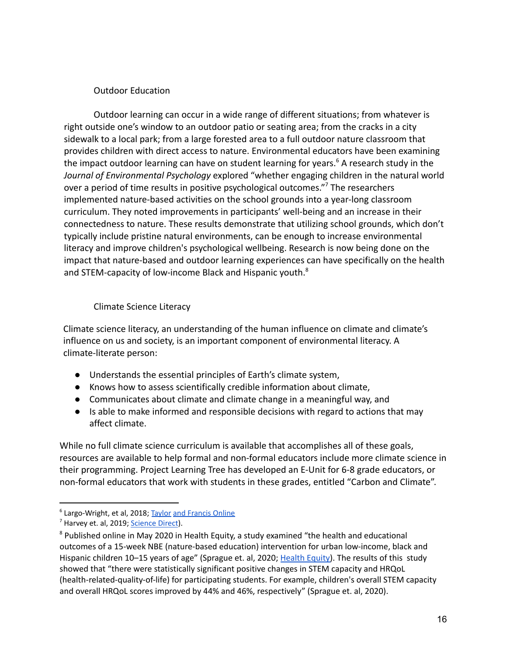## Outdoor Education

Outdoor learning can occur in a wide range of different situations; from whatever is right outside one's window to an outdoor patio or seating area; from the cracks in a city sidewalk to a local park; from a large forested area to a full outdoor nature classroom that provides children with direct access to nature. Environmental educators have been examining the impact outdoor learning can have on student learning for years.<sup>6</sup> A research study in the *Journal of Environmental Psychology* explored "whether engaging children in the natural world over a period of time results in positive psychological outcomes." <sup>7</sup> The researchers implemented nature-based activities on the school grounds into a year-long classroom curriculum. They noted improvements in participants' well-being and an increase in their connectedness to nature. These results demonstrate that utilizing school grounds, which don't typically include pristine natural environments, can be enough to increase environmental literacy and improve children's psychological wellbeing. Research is now being done on the impact that nature-based and outdoor learning experiences can have specifically on the health and STEM-capacity of low-income Black and Hispanic youth.<sup>8</sup>

#### Climate Science Literacy

Climate science literacy, an understanding of the human influence on climate and climate's influence on us and society, is an important component of environmental literacy. A climate-literate person:

- Understands the essential principles of Earth's climate system,
- Knows how to assess scientifically credible information about climate,
- Communicates about climate and climate change in a meaningful way, and
- Is able to make informed and responsible decisions with regard to actions that may affect climate.

While no full climate science curriculum is available that accomplishes all of these goals, resources are available to help formal and non-formal educators include more climate science in their programming. Project Learning Tree has developed an E-Unit for 6-8 grade educators, or non-formal educators that work with students in these grades, entitled "Carbon and Climate".

<sup>&</sup>lt;sup>6</sup> Largo-Wright, et al, 2018; [Taylor](https://www.tandfonline.com/doi/full/10.1080/09603123.2018.1502415) and [Francis](https://www.tandfonline.com/doi/full/10.1080/09603123.2018.1502415) Online

<sup>&</sup>lt;sup>7</sup> Harvey et. al, 2019; [Science](https://www.sciencedirect.com/science/article/abs/pii/S0272494419303536?via%3Dihub) Direct).

<sup>&</sup>lt;sup>8</sup> Published online in May 2020 in Health Equity, a study examined "the health and educational outcomes of a 15-week NBE (nature-based education) intervention for urban low-income, black and Hispanic children 10–15 years of age" (Sprague et. al, 2020; [Health](https://www.liebertpub.com/doi/10.1089/heq.2019.0118) Equity). The results of this study showed that "there were statistically significant positive changes in STEM capacity and HRQoL (health-related-quality-of-life) for participating students. For example, children's overall STEM capacity and overall HRQoL scores improved by 44% and 46%, respectively" (Sprague et. al, 2020).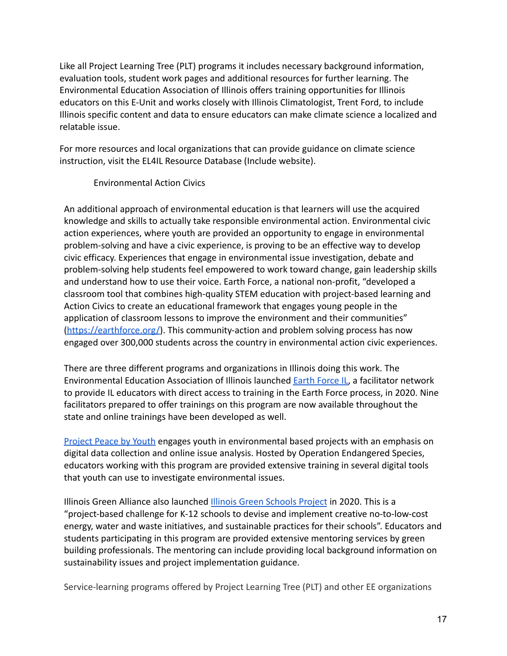Like all Project Learning Tree (PLT) programs it includes necessary background information, evaluation tools, student work pages and additional resources for further learning. The Environmental Education Association of Illinois offers training opportunities for Illinois educators on this E-Unit and works closely with Illinois Climatologist, Trent Ford, to include Illinois specific content and data to ensure educators can make climate science a localized and relatable issue.

For more resources and local organizations that can provide guidance on climate science instruction, visit the EL4IL Resource Database (Include website).

Environmental Action Civics

An additional approach of environmental education is that learners will use the acquired knowledge and skills to actually take responsible environmental action. Environmental civic action experiences, where youth are provided an opportunity to engage in environmental problem-solving and have a civic experience, is proving to be an effective way to develop civic efficacy. Experiences that engage in environmental issue investigation, debate and problem-solving help students feel empowered to work toward change, gain leadership skills and understand how to use their voice. Earth Force, a national non-profit, "developed a classroom tool that combines high-quality STEM education with project-based learning and Action Civics to create an educational framework that engages young people in the application of classroom lessons to improve the environment and their communities" (<https://earthforce.org/>). This community-action and problem solving process has now engaged over 300,000 students across the country in environmental action civic experiences.

There are three different programs and organizations in Illinois doing this work. The Environmental Education Association of Illinois launched [Earth Force IL,](https://www.eeai.net/earth-force-illinois.html) a facilitator network to provide IL educators with direct access to training in the Earth Force process, in 2020. Nine facilitators prepared to offer trainings on this program are now available throughout the state and online trainings have been developed as well.

[Project Peace by Youth](http://operationendangeredspecies.com/?fbclid=IwAR29OxV6UGwb_KscNghrtzWayG4mZkHKG8J9nzuwrCSdpIs2m6AXWDEnNS8) engages youth in environmental based projects with an emphasis on digital data collection and online issue analysis. Hosted by Operation Endangered Species, educators working with this program are provided extensive training in several digital tools that youth can use to investigate environmental issues.

Illinois Green Alliance also launched Illinois Green [Schools Project](https://illinoisgreenalliance.org/learn-more-about-the-illinois-green-schools-project/) in 2020. This is a "project-based challenge for K-12 schools to devise and implement creative no-to-low-cost energy, water and waste initiatives, and sustainable practices for their schools". Educators and students participating in this program are provided extensive mentoring services by green building professionals. The mentoring can include providing local background information on sustainability issues and project implementation guidance.

Service-learning programs offered by Project Learning Tree (PLT) and other EE organizations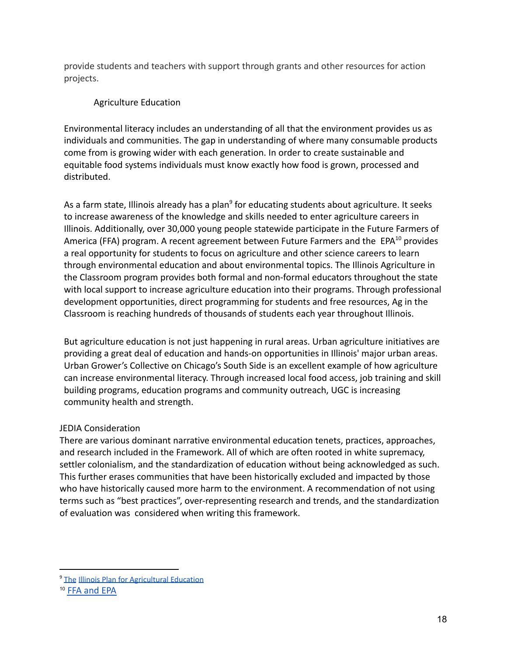provide students and teachers with support through grants and other resources for action projects.

## Agriculture Education

Environmental literacy includes an understanding of all that the environment provides us as individuals and communities. The gap in understanding of where many consumable products come from is growing wider with each generation. In order to create sustainable and equitable food systems individuals must know exactly how food is grown, processed and distributed.

As a farm state, Illinois already has a plan<sup>9</sup> for educating students about agriculture. It seeks to increase awareness of the knowledge and skills needed to enter agriculture careers in Illinois. Additionally, over 30,000 young people statewide participate in the Future Farmers of America (FFA) program. A recent agreement between Future Farmers and the EPA<sup>10</sup> provides a real opportunity for students to focus on agriculture and other science careers to learn through environmental education and about environmental topics. The Illinois Agriculture in the Classroom program provides both formal and non-formal educators throughout the state with local support to increase agriculture education into their programs. Through professional development opportunities, direct programming for students and free resources, Ag in the Classroom is reaching hundreds of thousands of students each year throughout Illinois.

But agriculture education is not just happening in rural areas. Urban agriculture initiatives are providing a great deal of education and hands-on opportunities in Illinois' major urban areas. Urban Grower's Collective on Chicago's South Side is an excellent example of how agriculture can increase environmental literacy. Through increased local food access, job training and skill building programs, education programs and community outreach, UGC is increasing community health and strength.

## JEDIA Consideration

There are various dominant narrative environmental education tenets, practices, approaches, and research included in the Framework. All of which are often rooted in white supremacy, settler colonialism, and the standardization of education without being acknowledged as such. This further erases communities that have been historically excluded and impacted by those who have historically caused more harm to the environment. A recommendation of not using terms such as "best practices", over-representing research and trends, and the standardization of evaluation was considered when writing this framework.

<sup>&</sup>lt;sup>9</sup> [The](http://ilaged.wieghatgraphics.com/docs/sidemodules/ILAgEdPlanRevision-June2016_75780.pdf) Illinois Plan for [Agricultural](http://ilaged.wieghatgraphics.com/docs/sidemodules/ILAgEdPlanRevision-June2016_75780.pdf) Education

<sup>10</sup> [FFA and EPA](https://www.epa.gov/sites/production/files/2019-02/documents/image2019-02-13-171741-508.pdf)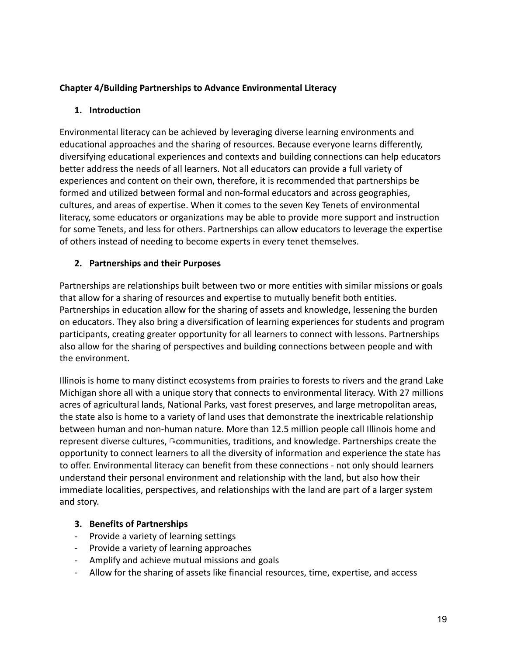## **Chapter 4/Building Partnerships to Advance Environmental Literacy**

## **1. Introduction**

Environmental literacy can be achieved by leveraging diverse learning environments and educational approaches and the sharing of resources. Because everyone learns differently, diversifying educational experiences and contexts and building connections can help educators better address the needs of all learners. Not all educators can provide a full variety of experiences and content on their own, therefore, it is recommended that partnerships be formed and utilized between formal and non-formal educators and across geographies, cultures, and areas of expertise. When it comes to the seven Key Tenets of environmental literacy, some educators or organizations may be able to provide more support and instruction for some Tenets, and less for others. Partnerships can allow educators to leverage the expertise of others instead of needing to become experts in every tenet themselves.

## **2. Partnerships and their Purposes**

Partnerships are relationships built between two or more entities with similar missions or goals that allow for a sharing of resources and expertise to mutually benefit both entities. Partnerships in education allow for the sharing of assets and knowledge, lessening the burden on educators. They also bring a diversification of learning experiences for students and program participants, creating greater opportunity for all learners to connect with lessons. Partnerships also allow for the sharing of perspectives and building connections between people and with the environment.

Illinois is home to many distinct ecosystems from prairies to forests to rivers and the grand Lake Michigan shore all with a unique story that connects to environmental literacy. With 27 millions acres of agricultural lands, National Parks, vast forest preserves, and large metropolitan areas, the state also is home to a variety of land uses that demonstrate the inextricable relationship between human and non-human nature. More than 12.5 million people call Illinois home and represent diverse cultures, ∿communities, traditions, and knowledge. Partnerships create the opportunity to connect learners to all the diversity of information and experience the state has to offer. Environmental literacy can benefit from these connections - not only should learners understand their personal environment and relationship with the land, but also how their immediate localities, perspectives, and relationships with the land are part of a larger system and story.

## **3. Benefits of Partnerships**

- Provide a variety of learning settings
- Provide a variety of learning approaches
- Amplify and achieve mutual missions and goals
- Allow for the sharing of assets like financial resources, time, expertise, and access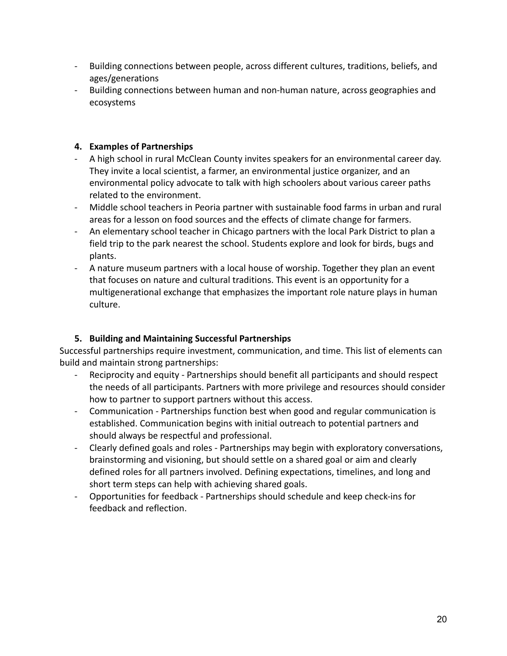- Building connections between people, across different cultures, traditions, beliefs, and ages/generations
- Building connections between human and non-human nature, across geographies and ecosystems

## **4. Examples of Partnerships**

- A high school in rural McClean County invites speakers for an environmental career day. They invite a local scientist, a farmer, an environmental justice organizer, and an environmental policy advocate to talk with high schoolers about various career paths related to the environment.
- Middle school teachers in Peoria partner with sustainable food farms in urban and rural areas for a lesson on food sources and the effects of climate change for farmers.
- An elementary school teacher in Chicago partners with the local Park District to plan a field trip to the park nearest the school. Students explore and look for birds, bugs and plants.
- A nature museum partners with a local house of worship. Together they plan an event that focuses on nature and cultural traditions. This event is an opportunity for a multigenerational exchange that emphasizes the important role nature plays in human culture.

# **5. Building and Maintaining Successful Partnerships**

Successful partnerships require investment, communication, and time. This list of elements can build and maintain strong partnerships:

- Reciprocity and equity Partnerships should benefit all participants and should respect the needs of all participants. Partners with more privilege and resources should consider how to partner to support partners without this access.
- Communication Partnerships function best when good and regular communication is established. Communication begins with initial outreach to potential partners and should always be respectful and professional.
- Clearly defined goals and roles Partnerships may begin with exploratory conversations, brainstorming and visioning, but should settle on a shared goal or aim and clearly defined roles for all partners involved. Defining expectations, timelines, and long and short term steps can help with achieving shared goals.
- Opportunities for feedback Partnerships should schedule and keep check-ins for feedback and reflection.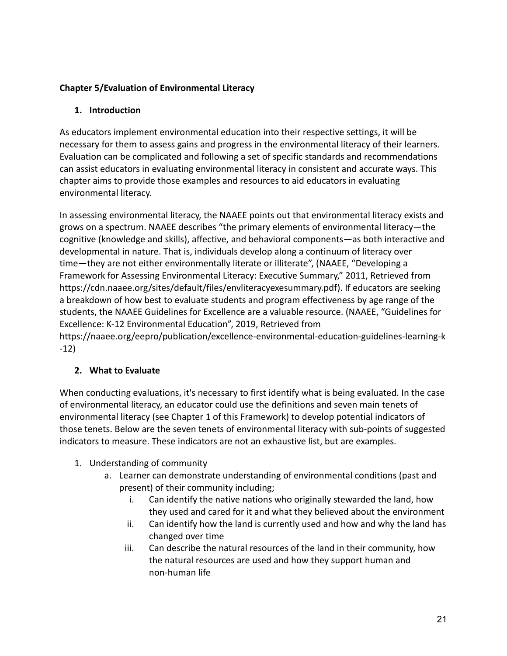# **Chapter 5/Evaluation of Environmental Literacy**

# **1. Introduction**

As educators implement environmental education into their respective settings, it will be necessary for them to assess gains and progress in the environmental literacy of their learners. Evaluation can be complicated and following a set of specific standards and recommendations can assist educators in evaluating environmental literacy in consistent and accurate ways. This chapter aims to provide those examples and resources to aid educators in evaluating environmental literacy.

In assessing environmental literacy, the NAAEE points out that environmental literacy exists and grows on a spectrum. NAAEE describes "the primary elements of environmental literacy—the cognitive (knowledge and skills), affective, and behavioral components—as both interactive and developmental in nature. That is, individuals develop along a continuum of literacy over time—they are not either environmentally literate or illiterate", (NAAEE, "Developing a Framework for Assessing Environmental Literacy: Executive Summary," 2011, Retrieved from https://cdn.naaee.org/sites/default/files/envliteracyexesummary.pdf). If educators are seeking a breakdown of how best to evaluate students and program effectiveness by age range of the students, the NAAEE Guidelines for Excellence are a valuable resource. (NAAEE, "Guidelines for Excellence: K-12 Environmental Education", 2019, Retrieved from https://naaee.org/eepro/publication/excellence-environmental-education-guidelines-learning-k -12)

# **2. What to Evaluate**

When conducting evaluations, it's necessary to first identify what is being evaluated. In the case of environmental literacy, an educator could use the definitions and seven main tenets of environmental literacy (see Chapter 1 of this Framework) to develop potential indicators of those tenets. Below are the seven tenets of environmental literacy with sub-points of suggested indicators to measure. These indicators are not an exhaustive list, but are examples.

- 1. Understanding of community
	- a. Learner can demonstrate understanding of environmental conditions (past and present) of their community including;
		- i. Can identify the native nations who originally stewarded the land, how they used and cared for it and what they believed about the environment
		- ii. Can identify how the land is currently used and how and why the land has changed over time
		- iii. Can describe the natural resources of the land in their community, how the natural resources are used and how they support human and non-human life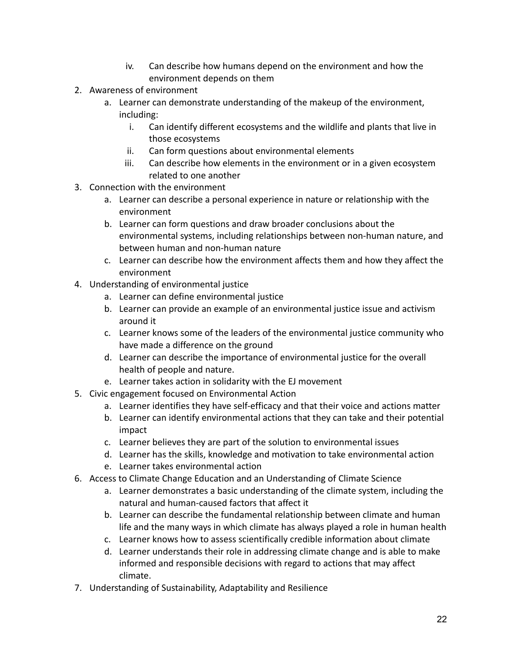- iv. Can describe how humans depend on the environment and how the environment depends on them
- 2. Awareness of environment
	- a. Learner can demonstrate understanding of the makeup of the environment, including:
		- i. Can identify different ecosystems and the wildlife and plants that live in those ecosystems
		- ii. Can form questions about environmental elements
		- iii. Can describe how elements in the environment or in a given ecosystem related to one another
- 3. Connection with the environment
	- a. Learner can describe a personal experience in nature or relationship with the environment
	- b. Learner can form questions and draw broader conclusions about the environmental systems, including relationships between non-human nature, and between human and non-human nature
	- c. Learner can describe how the environment affects them and how they affect the environment
- 4. Understanding of environmental justice
	- a. Learner can define environmental justice
	- b. Learner can provide an example of an environmental justice issue and activism around it
	- c. Learner knows some of the leaders of the environmental justice community who have made a difference on the ground
	- d. Learner can describe the importance of environmental justice for the overall health of people and nature.
	- e. Learner takes action in solidarity with the EJ movement
- 5. Civic engagement focused on Environmental Action
	- a. Learner identifies they have self-efficacy and that their voice and actions matter
	- b. Learner can identify environmental actions that they can take and their potential impact
	- c. Learner believes they are part of the solution to environmental issues
	- d. Learner has the skills, knowledge and motivation to take environmental action
	- e. Learner takes environmental action
- 6. Access to Climate Change Education and an Understanding of Climate Science
	- a. Learner demonstrates a basic understanding of the climate system, including the natural and human-caused factors that affect it
	- b. Learner can describe the fundamental relationship between climate and human life and the many ways in which climate has always played a role in human health
	- c. Learner knows how to assess scientifically credible information about climate
	- d. Learner understands their role in addressing climate change and is able to make informed and responsible decisions with regard to actions that may affect climate.
- 7. Understanding of Sustainability, Adaptability and Resilience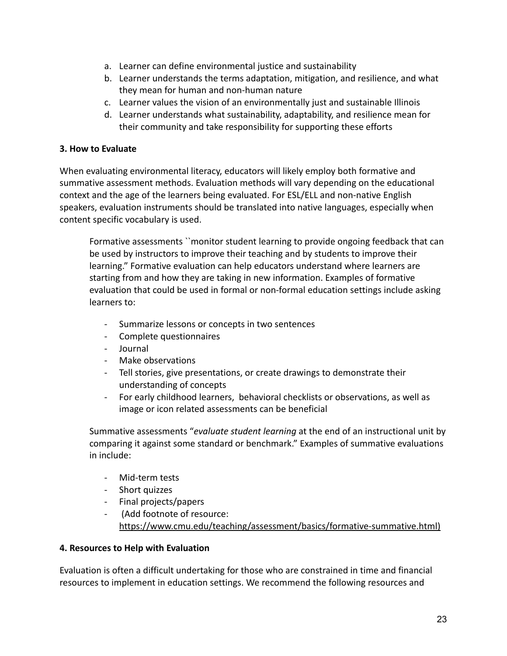- a. Learner can define environmental justice and sustainability
- b. Learner understands the terms adaptation, mitigation, and resilience, and what they mean for human and non-human nature
- c. Learner values the vision of an environmentally just and sustainable Illinois
- d. Learner understands what sustainability, adaptability, and resilience mean for their community and take responsibility for supporting these efforts

## **3. How to Evaluate**

When evaluating environmental literacy, educators will likely employ both formative and summative assessment methods. Evaluation methods will vary depending on the educational context and the age of the learners being evaluated. For ESL/ELL and non-native English speakers, evaluation instruments should be translated into native languages, especially when content specific vocabulary is used.

Formative assessments ``monitor student learning to provide ongoing feedback that can be used by instructors to improve their teaching and by students to improve their learning." Formative evaluation can help educators understand where learners are starting from and how they are taking in new information. Examples of formative evaluation that could be used in formal or non-formal education settings include asking learners to:

- Summarize lessons or concepts in two sentences
- Complete questionnaires
- Journal
- Make observations
- Tell stories, give presentations, or create drawings to demonstrate their understanding of concepts
- For early childhood learners, behavioral checklists or observations, as well as image or icon related assessments can be beneficial

Summative assessments "*evaluate student learning* at the end of an instructional unit by comparing it against some standard or benchmark." Examples of summative evaluations in include:

- Mid-term tests
- Short quizzes
- Final projects/papers
- (Add footnote of resource: <https://www.cmu.edu/teaching/assessment/basics/formative-summative.html>)

## **4. Resources to Help with Evaluation**

Evaluation is often a difficult undertaking for those who are constrained in time and financial resources to implement in education settings. We recommend the following resources and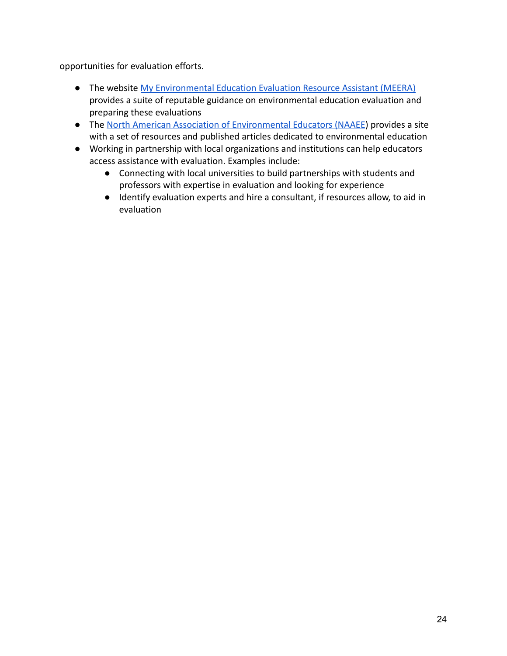opportunities for evaluation efforts.

- The website [My Environmental Education Evaluation](https://meera.snre.umich.edu/) Resource Assistant (MEERA) provides a suite of reputable guidance on environmental education evaluation and preparing these evaluations
- The [North American Association of Environmental Educators](https://naaee.org/eepro/research/library/education) (NAAEE) provides a site with a set of resources and published articles dedicated to environmental education
- Working in partnership with local organizations and institutions can help educators access assistance with evaluation. Examples include:
	- Connecting with local universities to build partnerships with students and professors with expertise in evaluation and looking for experience
	- Identify evaluation experts and hire a consultant, if resources allow, to aid in evaluation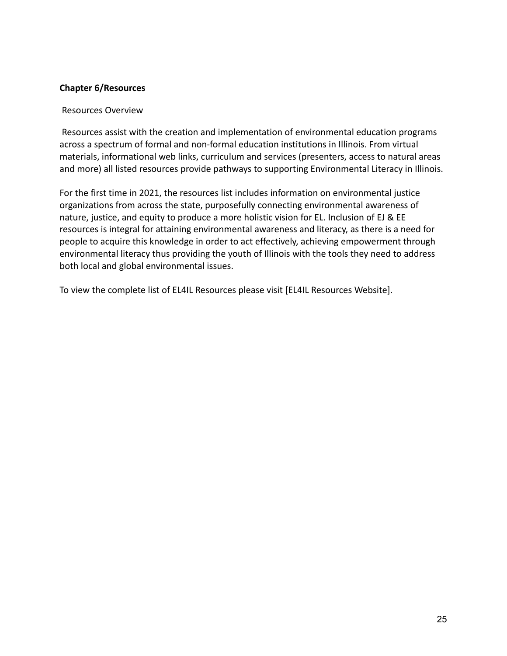#### **Chapter 6/Resources**

#### Resources Overview

Resources assist with the creation and implementation of environmental education programs across a spectrum of formal and non-formal education institutions in Illinois. From virtual materials, informational web links, curriculum and services (presenters, access to natural areas and more) all listed resources provide pathways to supporting Environmental Literacy in Illinois.

For the first time in 2021, the resources list includes information on environmental justice organizations from across the state, purposefully connecting environmental awareness of nature, justice, and equity to produce a more holistic vision for EL. Inclusion of EJ & EE resources is integral for attaining environmental awareness and literacy, as there is a need for people to acquire this knowledge in order to act effectively, achieving empowerment through environmental literacy thus providing the youth of Illinois with the tools they need to address both local and global environmental issues.

To view the complete list of EL4IL Resources please visit [EL4IL Resources Website].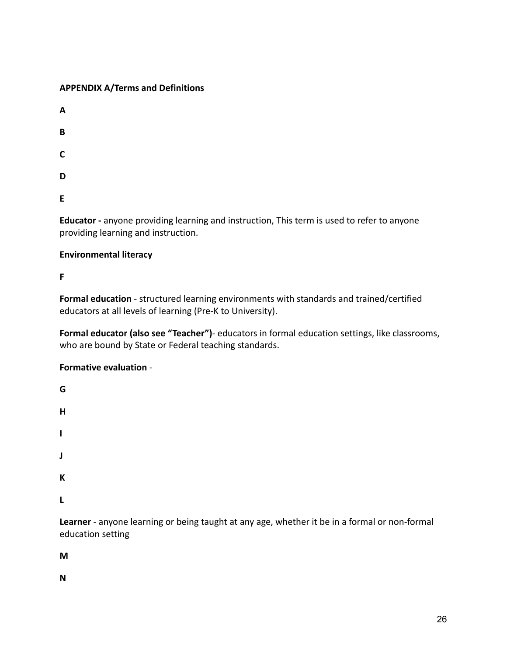## **APPENDIX A/Terms and Definitions**

| A           |  |  |
|-------------|--|--|
| $\mathbf B$ |  |  |
| $\mathsf C$ |  |  |
| D           |  |  |
| E           |  |  |

**Educator -** anyone providing learning and instruction, This term is used to refer to anyone providing learning and instruction.

## **Environmental literacy**

**F**

**Formal education** - structured learning environments with standards and trained/certified educators at all levels of learning (Pre-K to University).

**Formal educator (also see "Teacher")**- educators in formal education settings, like classrooms, who are bound by State or Federal teaching standards.

**Formative evaluation** -

**G H I J K L**

**Learner** - anyone learning or being taught at any age, whether it be in a formal or non-formal education setting

**M**

**N**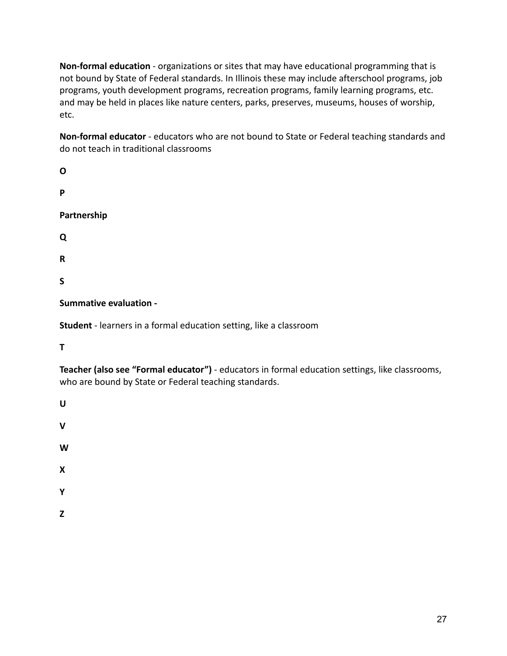**Non-formal education** - organizations or sites that may have educational programming that is not bound by State of Federal standards. In Illinois these may include afterschool programs, job programs, youth development programs, recreation programs, family learning programs, etc. and may be held in places like nature centers, parks, preserves, museums, houses of worship, etc.

**Non-formal educator** - educators who are not bound to State or Federal teaching standards and do not teach in traditional classrooms

| O           |  |  |
|-------------|--|--|
| Ρ           |  |  |
| Partnership |  |  |
| Q           |  |  |
| R           |  |  |
| S           |  |  |

**Summative evaluation -**

**Student** - learners in a formal education setting, like a classroom

**T**

**Teacher (also see "Formal educator")** - educators in formal education settings, like classrooms, who are bound by State or Federal teaching standards.

**U**

**V**

**W**

**X**

- **Y**
- **Z**